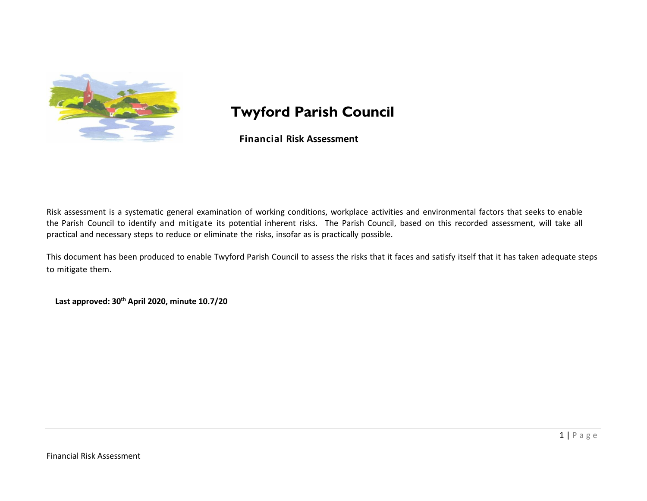

## **Twyford Parish Council**

**Financial Risk Assessment**

Risk assessment is a systematic general examination of working conditions, workplace activities and environmental factors that seeks to enable the Parish Council to identify and mitigate its potential inherent risks. The Parish Council, based on this recorded assessment, will take all practical and necessary steps to reduce or eliminate the risks, insofar as is practically possible.

This document has been produced to enable Twyford Parish Council to assess the risks that it faces and satisfy itself that it has taken adequate steps to mitigate them.

**Last approved: 30th April 2020, minute 10.7/20**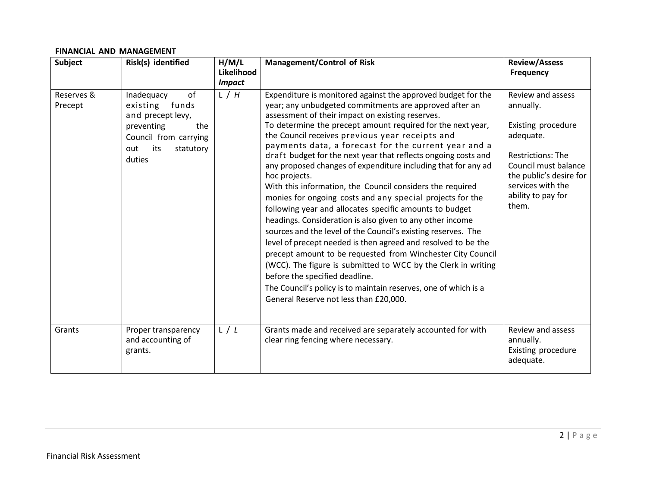## **FINANCIAL AND MANAGEMENT**

| Subject               | Risk(s) identified                                                                                                                            | H/M/L<br>Likelihood<br><b>Impact</b> | <b>Management/Control of Risk</b>                                                                                                                                                                                                                                                                                                                                                                                                                                                                                                                                                                                                                                                                                                                                                                                                                                                                                                                                                                                                                                                                                                                                           | <b>Review/Assess</b><br>Frequency                                                                                                                                                                    |
|-----------------------|-----------------------------------------------------------------------------------------------------------------------------------------------|--------------------------------------|-----------------------------------------------------------------------------------------------------------------------------------------------------------------------------------------------------------------------------------------------------------------------------------------------------------------------------------------------------------------------------------------------------------------------------------------------------------------------------------------------------------------------------------------------------------------------------------------------------------------------------------------------------------------------------------------------------------------------------------------------------------------------------------------------------------------------------------------------------------------------------------------------------------------------------------------------------------------------------------------------------------------------------------------------------------------------------------------------------------------------------------------------------------------------------|------------------------------------------------------------------------------------------------------------------------------------------------------------------------------------------------------|
| Reserves &<br>Precept | of<br>Inadequacy<br>funds<br>existing<br>and precept levy,<br>preventing<br>the<br>Council from carrying<br>its<br>out<br>statutory<br>duties | L/H                                  | Expenditure is monitored against the approved budget for the<br>year; any unbudgeted commitments are approved after an<br>assessment of their impact on existing reserves.<br>To determine the precept amount required for the next year,<br>the Council receives previous year receipts and<br>payments data, a forecast for the current year and a<br>draft budget for the next year that reflects ongoing costs and<br>any proposed changes of expenditure including that for any ad<br>hoc projects.<br>With this information, the Council considers the required<br>monies for ongoing costs and any special projects for the<br>following year and allocates specific amounts to budget<br>headings. Consideration is also given to any other income<br>sources and the level of the Council's existing reserves. The<br>level of precept needed is then agreed and resolved to be the<br>precept amount to be requested from Winchester City Council<br>(WCC). The figure is submitted to WCC by the Clerk in writing<br>before the specified deadline.<br>The Council's policy is to maintain reserves, one of which is a<br>General Reserve not less than £20,000. | Review and assess<br>annually.<br>Existing procedure<br>adequate.<br><b>Restrictions: The</b><br>Council must balance<br>the public's desire for<br>services with the<br>ability to pay for<br>them. |
| Grants                | Proper transparency<br>and accounting of<br>grants.                                                                                           | L/L                                  | Grants made and received are separately accounted for with<br>clear ring fencing where necessary.                                                                                                                                                                                                                                                                                                                                                                                                                                                                                                                                                                                                                                                                                                                                                                                                                                                                                                                                                                                                                                                                           | Review and assess<br>annually.<br>Existing procedure<br>adequate.                                                                                                                                    |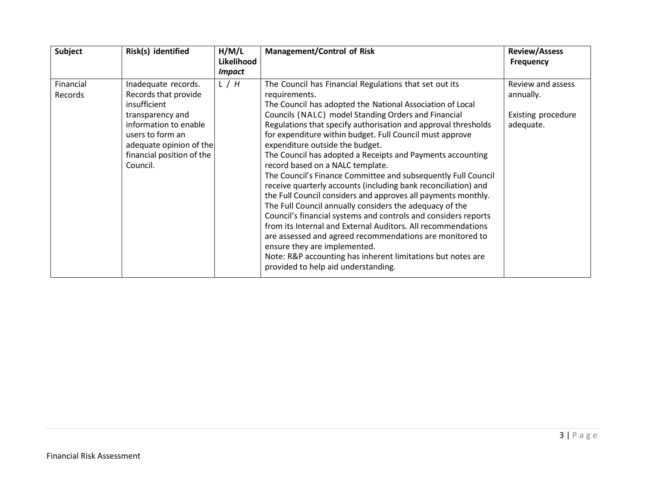| Subject              | Risk(s) identified                                                                                                                                                                               | H/M/L<br>Likelihood | <b>Management/Control of Risk</b>                                                                                                                                                                                                                                                                                                                                                                                                                                                                                                                                                                                                                                                                                                                                                                                                                                                                                                                                                                                                                                 | <b>Review/Assess</b>                                              |
|----------------------|--------------------------------------------------------------------------------------------------------------------------------------------------------------------------------------------------|---------------------|-------------------------------------------------------------------------------------------------------------------------------------------------------------------------------------------------------------------------------------------------------------------------------------------------------------------------------------------------------------------------------------------------------------------------------------------------------------------------------------------------------------------------------------------------------------------------------------------------------------------------------------------------------------------------------------------------------------------------------------------------------------------------------------------------------------------------------------------------------------------------------------------------------------------------------------------------------------------------------------------------------------------------------------------------------------------|-------------------------------------------------------------------|
|                      |                                                                                                                                                                                                  | <b>Impact</b>       |                                                                                                                                                                                                                                                                                                                                                                                                                                                                                                                                                                                                                                                                                                                                                                                                                                                                                                                                                                                                                                                                   | <b>Frequency</b>                                                  |
| Financial<br>Records | Inadequate records.<br>Records that provide<br>insufficient<br>transparency and<br>information to enable<br>users to form an<br>adequate opinion of the<br>financial position of the<br>Council. | L/H                 | The Council has Financial Regulations that set out its<br>requirements.<br>The Council has adopted the National Association of Local<br>Councils (NALC) model Standing Orders and Financial<br>Regulations that specify authorisation and approval thresholds<br>for expenditure within budget. Full Council must approve<br>expenditure outside the budget.<br>The Council has adopted a Receipts and Payments accounting<br>record based on a NALC template.<br>The Council's Finance Committee and subsequently Full Council<br>receive quarterly accounts (including bank reconciliation) and<br>the Full Council considers and approves all payments monthly.<br>The Full Council annually considers the adequacy of the<br>Council's financial systems and controls and considers reports<br>from its Internal and External Auditors. All recommendations<br>are assessed and agreed recommendations are monitored to<br>ensure they are implemented.<br>Note: R&P accounting has inherent limitations but notes are<br>provided to help aid understanding. | Review and assess<br>annually.<br>Existing procedure<br>adequate. |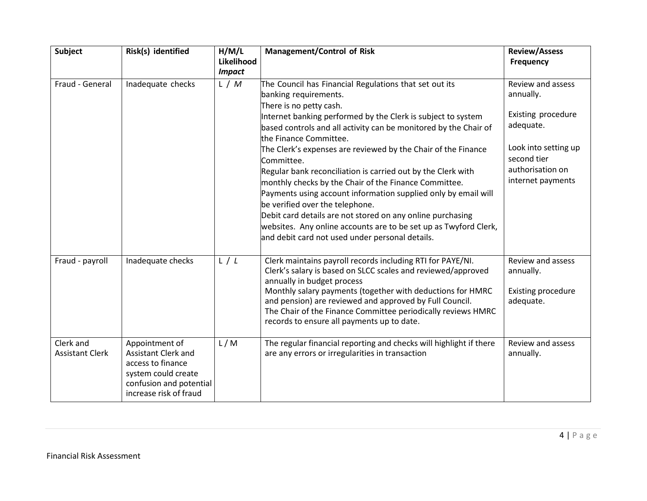| <b>Subject</b>                      | Risk(s) identified                                                                                                                            | H/M/L<br>Likelihood<br><b>Impact</b> | <b>Management/Control of Risk</b>                                                                                                                                                                                                                                                                                                                                                                                                                                                                                                                                                                                                                                                                                                                                          | <b>Review/Assess</b><br>Frequency                                                                                                                 |
|-------------------------------------|-----------------------------------------------------------------------------------------------------------------------------------------------|--------------------------------------|----------------------------------------------------------------------------------------------------------------------------------------------------------------------------------------------------------------------------------------------------------------------------------------------------------------------------------------------------------------------------------------------------------------------------------------------------------------------------------------------------------------------------------------------------------------------------------------------------------------------------------------------------------------------------------------------------------------------------------------------------------------------------|---------------------------------------------------------------------------------------------------------------------------------------------------|
| Fraud - General                     | Inadequate checks                                                                                                                             | L/M                                  | The Council has Financial Regulations that set out its<br>banking requirements.<br>There is no petty cash.<br>Internet banking performed by the Clerk is subject to system<br>based controls and all activity can be monitored by the Chair of<br>the Finance Committee.<br>The Clerk's expenses are reviewed by the Chair of the Finance<br>Committee.<br>Regular bank reconciliation is carried out by the Clerk with<br>monthly checks by the Chair of the Finance Committee.<br>Payments using account information supplied only by email will<br>be verified over the telephone.<br>Debit card details are not stored on any online purchasing<br>websites. Any online accounts are to be set up as Twyford Clerk,<br>and debit card not used under personal details. | Review and assess<br>annually.<br>Existing procedure<br>adequate.<br>Look into setting up<br>second tier<br>authorisation on<br>internet payments |
| Fraud - payroll                     | Inadequate checks                                                                                                                             | L/L                                  | Clerk maintains payroll records including RTI for PAYE/NI.<br>Clerk's salary is based on SLCC scales and reviewed/approved<br>annually in budget process<br>Monthly salary payments (together with deductions for HMRC<br>and pension) are reviewed and approved by Full Council.<br>The Chair of the Finance Committee periodically reviews HMRC<br>records to ensure all payments up to date.                                                                                                                                                                                                                                                                                                                                                                            | Review and assess<br>annually.<br><b>Existing procedure</b><br>adequate.                                                                          |
| Clerk and<br><b>Assistant Clerk</b> | Appointment of<br><b>Assistant Clerk and</b><br>access to finance<br>system could create<br>confusion and potential<br>increase risk of fraud | L/M                                  | The regular financial reporting and checks will highlight if there<br>are any errors or irregularities in transaction                                                                                                                                                                                                                                                                                                                                                                                                                                                                                                                                                                                                                                                      | Review and assess<br>annually.                                                                                                                    |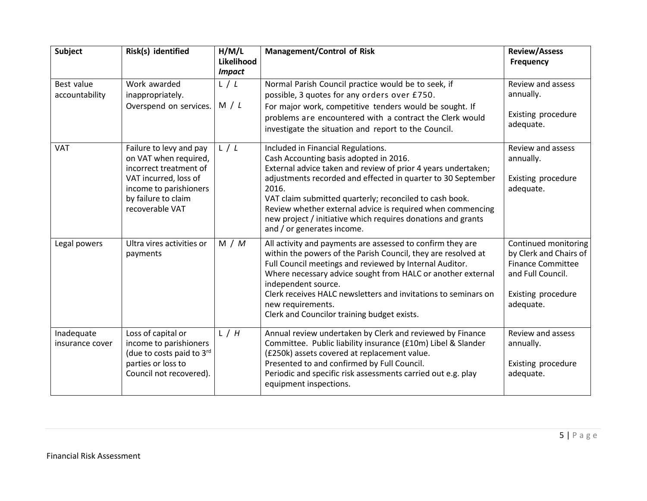| Subject                       | Risk(s) identified                                                                                                                                                      | H/M/L<br>Likelihood<br><b>Impact</b> | <b>Management/Control of Risk</b>                                                                                                                                                                                                                                                                                                                                                                                                             | <b>Review/Assess</b><br>Frequency                                                                                                  |
|-------------------------------|-------------------------------------------------------------------------------------------------------------------------------------------------------------------------|--------------------------------------|-----------------------------------------------------------------------------------------------------------------------------------------------------------------------------------------------------------------------------------------------------------------------------------------------------------------------------------------------------------------------------------------------------------------------------------------------|------------------------------------------------------------------------------------------------------------------------------------|
| Best value<br>accountability  | Work awarded<br>inappropriately.<br>Overspend on services.                                                                                                              | L/L<br>M / L                         | Normal Parish Council practice would be to seek, if<br>possible, 3 quotes for any orders over £750.<br>For major work, competitive tenders would be sought. If<br>problems are encountered with a contract the Clerk would<br>investigate the situation and report to the Council.                                                                                                                                                            | Review and assess<br>annually.<br>Existing procedure<br>adequate.                                                                  |
| <b>VAT</b>                    | Failure to levy and pay<br>on VAT when required,<br>incorrect treatment of<br>VAT incurred, loss of<br>income to parishioners<br>by failure to claim<br>recoverable VAT | L/L                                  | Included in Financial Regulations.<br>Cash Accounting basis adopted in 2016.<br>External advice taken and review of prior 4 years undertaken;<br>adjustments recorded and effected in quarter to 30 September<br>2016.<br>VAT claim submitted quarterly; reconciled to cash book.<br>Review whether external advice is required when commencing<br>new project / initiative which requires donations and grants<br>and / or generates income. | Review and assess<br>annually.<br>Existing procedure<br>adequate.                                                                  |
| Legal powers                  | Ultra vires activities or<br>payments                                                                                                                                   | M/M                                  | All activity and payments are assessed to confirm they are<br>within the powers of the Parish Council, they are resolved at<br>Full Council meetings and reviewed by Internal Auditor.<br>Where necessary advice sought from HALC or another external<br>independent source.<br>Clerk receives HALC newsletters and invitations to seminars on<br>new requirements.<br>Clerk and Councilor training budget exists.                            | Continued monitoring<br>by Clerk and Chairs of<br><b>Finance Committee</b><br>and Full Council.<br>Existing procedure<br>adequate. |
| Inadequate<br>insurance cover | Loss of capital or<br>income to parishioners<br>(due to costs paid to 3rd<br>parties or loss to<br>Council not recovered).                                              | L/H                                  | Annual review undertaken by Clerk and reviewed by Finance<br>Committee. Public liability insurance (£10m) Libel & Slander<br>(£250k) assets covered at replacement value.<br>Presented to and confirmed by Full Council.<br>Periodic and specific risk assessments carried out e.g. play<br>equipment inspections.                                                                                                                            | Review and assess<br>annually.<br>Existing procedure<br>adequate.                                                                  |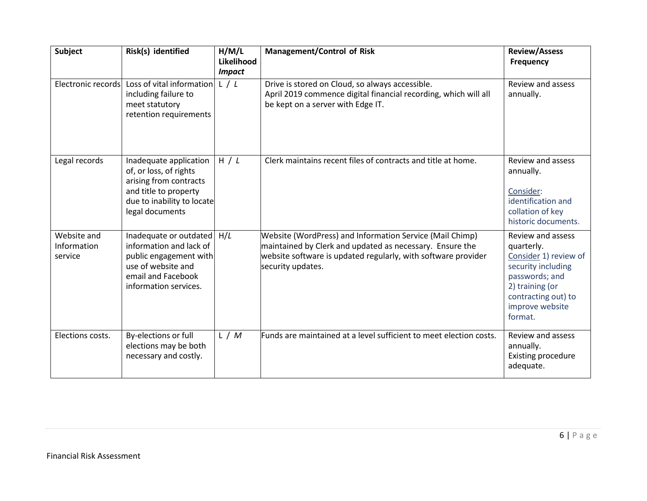| Subject                               | Risk(s) identified                                                                                                                                   | H/M/L<br>Likelihood<br><b>Impact</b> | <b>Management/Control of Risk</b>                                                                                                                                                                          | <b>Review/Assess</b><br><b>Frequency</b>                                                                                                                                 |
|---------------------------------------|------------------------------------------------------------------------------------------------------------------------------------------------------|--------------------------------------|------------------------------------------------------------------------------------------------------------------------------------------------------------------------------------------------------------|--------------------------------------------------------------------------------------------------------------------------------------------------------------------------|
| Electronic records                    | Loss of vital information<br>including failure to<br>meet statutory<br>retention requirements                                                        | L/L                                  | Drive is stored on Cloud, so always accessible.<br>April 2019 commence digital financial recording, which will all<br>be kept on a server with Edge IT.                                                    | Review and assess<br>annually.                                                                                                                                           |
| Legal records                         | Inadequate application<br>of, or loss, of rights<br>arising from contracts<br>and title to property<br>due to inability to locate<br>legal documents | H / L                                | Clerk maintains recent files of contracts and title at home.                                                                                                                                               | Review and assess<br>annually.<br>Consider:<br>identification and<br>collation of key<br>historic documents.                                                             |
| Website and<br>Information<br>service | Inadequate or outdated<br>information and lack of<br>public engagement with<br>use of website and<br>email and Facebook<br>information services.     | H/L                                  | Website (WordPress) and Information Service (Mail Chimp)<br>maintained by Clerk and updated as necessary. Ensure the<br>website software is updated regularly, with software provider<br>security updates. | Review and assess<br>quarterly.<br>Consider 1) review of<br>security including<br>passwords; and<br>2) training (or<br>contracting out) to<br>improve website<br>format. |
| Elections costs.                      | By-elections or full<br>elections may be both<br>necessary and costly.                                                                               | L/M                                  | Funds are maintained at a level sufficient to meet election costs.                                                                                                                                         | Review and assess<br>annually.<br>Existing procedure<br>adequate.                                                                                                        |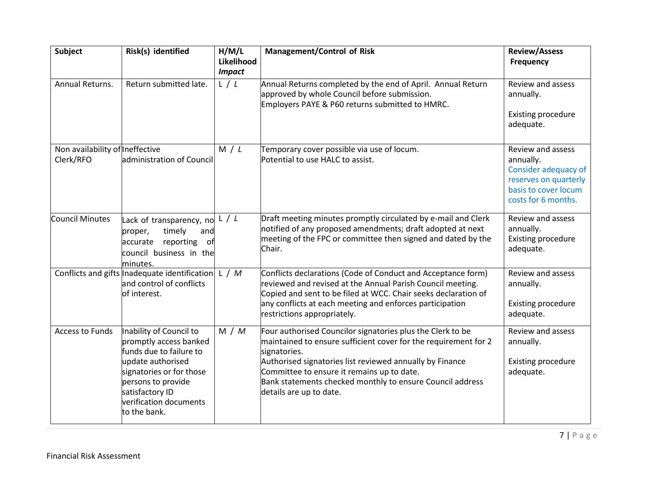| Subject                                      | Risk(s) identified                                                                                                                                                                                               | H/M/L<br>Likelihood<br><b>Impact</b> | <b>Management/Control of Risk</b>                                                                                                                                                                                                                                                                                                               | <b>Review/Assess</b><br>Frequency                                                                                              |
|----------------------------------------------|------------------------------------------------------------------------------------------------------------------------------------------------------------------------------------------------------------------|--------------------------------------|-------------------------------------------------------------------------------------------------------------------------------------------------------------------------------------------------------------------------------------------------------------------------------------------------------------------------------------------------|--------------------------------------------------------------------------------------------------------------------------------|
| Annual Returns.                              | Return submitted late.                                                                                                                                                                                           | L/L                                  | Annual Returns completed by the end of April. Annual Return<br>approved by whole Council before submission.<br>Employers PAYE & P60 returns submitted to HMRC.                                                                                                                                                                                  | Review and assess<br>annually.<br><b>Existing procedure</b><br>adequate.                                                       |
| Non availability of Ineffective<br>Clerk/RFO | administration of Council                                                                                                                                                                                        | M / L                                | Temporary cover possible via use of locum.<br>Potential to use HALC to assist.                                                                                                                                                                                                                                                                  | Review and assess<br>annually.<br>Consider adequacy of<br>reserves on quarterly<br>basis to cover locum<br>costs for 6 months. |
| Council Minutes                              | Lack of transparency, no<br>timely<br>proper,<br>and<br>reporting<br>accurate<br>of<br>council business in the<br>minutes.                                                                                       | L/L                                  | Draft meeting minutes promptly circulated by e-mail and Clerk<br>notified of any proposed amendments; draft adopted at next<br>meeting of the FPC or committee then signed and dated by the<br>Chair.                                                                                                                                           | Review and assess<br>annually.<br><b>Existing procedure</b><br>adequate.                                                       |
|                                              | Conflicts and gifts Inadequate identification<br>and control of conflicts<br>of interest.                                                                                                                        | L/M                                  | Conflicts declarations (Code of Conduct and Acceptance form)<br>reviewed and revised at the Annual Parish Council meeting.<br>Copied and sent to be filed at WCC. Chair seeks declaration of<br>any conflicts at each meeting and enforces participation<br>restrictions appropriately.                                                         | Review and assess<br>annually.<br><b>Existing procedure</b><br>adequate.                                                       |
| <b>Access to Funds</b>                       | Inability of Council to<br>promptly access banked<br>funds due to failure to<br>update authorised<br>signatories or for those<br>persons to provide<br>satisfactory ID<br>verification documents<br>to the bank. | M/M                                  | Four authorised Councilor signatories plus the Clerk to be<br>maintained to ensure sufficient cover for the requirement for 2<br>signatories.<br>Authorised signatories list reviewed annually by Finance<br>Committee to ensure it remains up to date.<br>Bank statements checked monthly to ensure Council address<br>details are up to date. | Review and assess<br>annually.<br><b>Existing procedure</b><br>adequate.                                                       |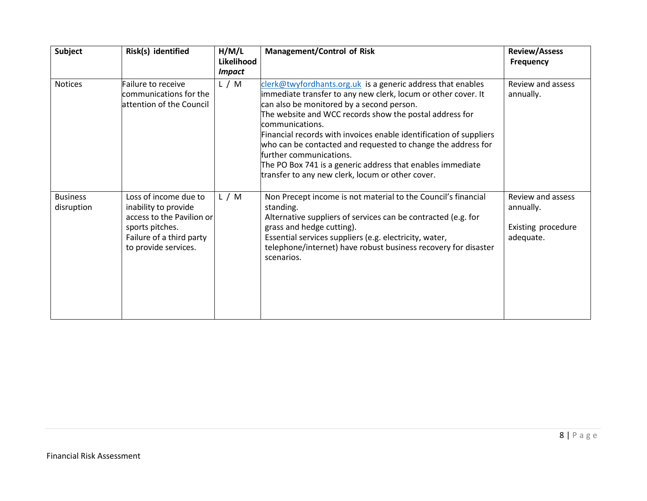| Subject                       | Risk(s) identified                                                                                                                                | H/M/L<br>Likelihood<br><b>Impact</b> | <b>Management/Control of Risk</b>                                                                                                                                                                                                                                                                                                                                                                                                                                                                                                          | <b>Review/Assess</b><br><b>Frequency</b>                          |
|-------------------------------|---------------------------------------------------------------------------------------------------------------------------------------------------|--------------------------------------|--------------------------------------------------------------------------------------------------------------------------------------------------------------------------------------------------------------------------------------------------------------------------------------------------------------------------------------------------------------------------------------------------------------------------------------------------------------------------------------------------------------------------------------------|-------------------------------------------------------------------|
| <b>Notices</b>                | Failure to receive<br>communications for the<br>attention of the Council                                                                          | L/M                                  | clerk@twyfordhants.org.uk is a generic address that enables<br>immediate transfer to any new clerk, locum or other cover. It<br>can also be monitored by a second person.<br>The website and WCC records show the postal address for<br>communications.<br>Financial records with invoices enable identification of suppliers<br>who can be contacted and requested to change the address for<br>further communications.<br>The PO Box 741 is a generic address that enables immediate<br>transfer to any new clerk, locum or other cover. | Review and assess<br>annually.                                    |
| <b>Business</b><br>disruption | Loss of income due to<br>inability to provide<br>access to the Pavilion or<br>sports pitches.<br>Failure of a third party<br>to provide services. | L/M                                  | Non Precept income is not material to the Council's financial<br>standing.<br>Alternative suppliers of services can be contracted (e.g. for<br>grass and hedge cutting).<br>Essential services suppliers (e.g. electricity, water,<br>telephone/internet) have robust business recovery for disaster<br>scenarios.                                                                                                                                                                                                                         | Review and assess<br>annually.<br>Existing procedure<br>adequate. |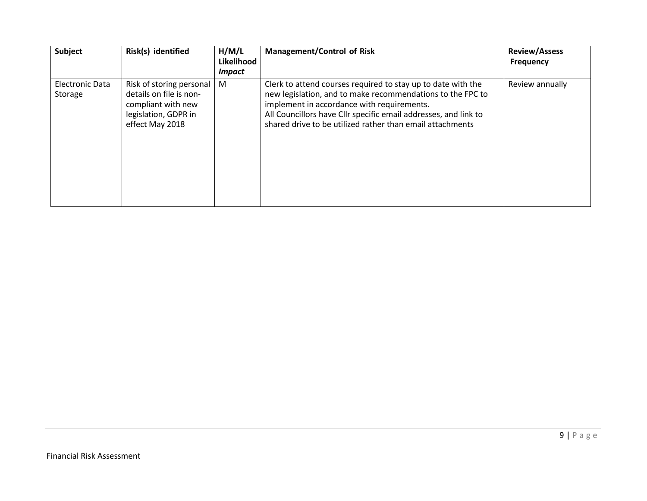| <b>Subject</b>                    | Risk(s) identified                                                                                                   | H/M/L<br>Likelihood<br><i><b>Impact</b></i> | <b>Management/Control of Risk</b>                                                                                                                                                                                                                                                                        | <b>Review/Assess</b><br><b>Frequency</b> |
|-----------------------------------|----------------------------------------------------------------------------------------------------------------------|---------------------------------------------|----------------------------------------------------------------------------------------------------------------------------------------------------------------------------------------------------------------------------------------------------------------------------------------------------------|------------------------------------------|
| <b>Electronic Data</b><br>Storage | Risk of storing personal<br>details on file is non-<br>compliant with new<br>legislation, GDPR in<br>effect May 2018 | M                                           | Clerk to attend courses required to stay up to date with the<br>new legislation, and to make recommendations to the FPC to<br>implement in accordance with requirements.<br>All Councillors have Cllr specific email addresses, and link to<br>shared drive to be utilized rather than email attachments | Review annually                          |